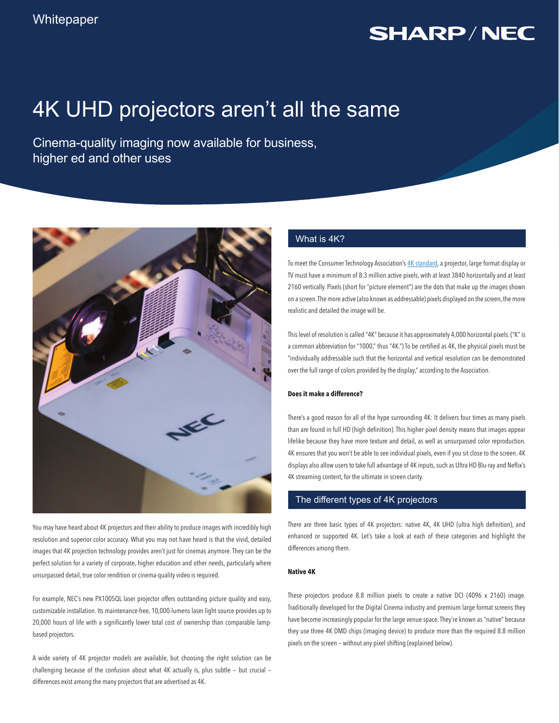## **SHARP/NEO**

# 4K UHD projectors aren't all the same

Cinema-quality imaging now available for business, higher ed and other uses



You may have heard about 4K projectors and their ability to produce images with incredibly high resolution and superior color accuracy. What you may not have heard is that the vivid, detailed images that 4K projection technology provides aren't just for cinemas anymore. They can be the perfect solution for a variety of corporate, higher education and other needs, particularly where unsurpassed detail, true color rendition or cinema-quality video is required.

For example, NEC's new PX1005QL laser projector offers outstanding picture quality and easy, customizable installation. Its maintenance-free, 10,000-lumens laser light source provides up to 20,000 hours of life with a significantly lower total cost of ownership than comparable lampbased projectors.

A wide variety of 4K projector models are available, but choosing the right solution can be challenging because of the confusion about what 4K actually is, plus subtle — but crucial differences exist among the many projectors that are advertised as 4K.

## What is 4K?

To meet the Consumer Technology Association's 4K standard, a projector, large format display or TV must have a minimum of 8.3 million active pixels, with at least 3840 horizontally and at least 2160 vertically. Pixels (short for "picture element") are the dots that make up the images shown on a screen. The more active (also known as addressable) pixels displayed on the screen, the more realistic and detailed the image will be.

This level of resolution is called "4K" because it has approximately 4,000 horizontal pixels. ("K" is a common abbreviation for "1000," thus "4K.") To be certified as 4K, the physical pixels must be "individually addressable such that the horizontal and vertical resolution can be demonstrated over the full range of colors provided by the display," according to the Association.

### **Does it make a difference?**

There's a good reason for all of the hype surrounding 4K: It delivers four times as many pixels than are found in full HD (high definition). This higher pixel density means that images appear lifelike because they have more texture and detail, as well as unsurpassed color reproduction. 4K ensures that you won't be able to see individual pixels, even if you sit close to the screen. 4K displays also allow users to take full advantage of 4K inputs, such as Ultra HD Blu-ray and Neflix's 4K streaming content, for the ultimate in screen clarity.

## The different types of 4K projectors

There are three basic types of 4K projectors: native 4K, 4K UHD (ultra high definition), and enhanced or supported 4K. Let's take a look at each of these categories and highlight the differences among them.

## **Native 4K**

These projectors produce 8.8 million pixels to create a native DCI (4096 x 2160) image. Traditionally developed for the Digital Cinema industry and premium large format screens they have become increasingly popular for the large venue space. They're known as "native" because they use three 4K DMD chips (imaging device) to produce more than the required 8.8 million pixels on the screen — without any pixel shifting (explained below).